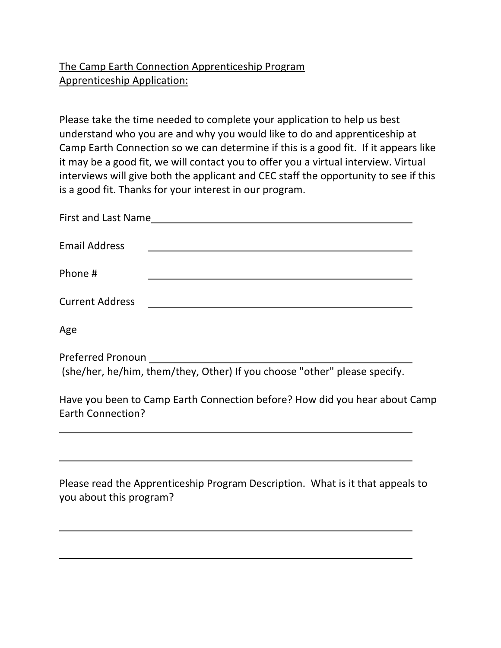## The Camp Earth Connection Apprenticeship Program Apprenticeship Application:

Please take the time needed to complete your application to help us best understand who you are and why you would like to do and apprenticeship at Camp Earth Connection so we can determine if this is a good fit. If it appears like it may be a good fit, we will contact you to offer you a virtual interview. Virtual interviews will give both the applicant and CEC staff the opportunity to see if this is a good fit. Thanks for your interest in our program.

| <b>Email Address</b>     | <u> Andreas Andreas Andreas Andreas Andreas Andreas Andreas Andreas Andreas Andreas Andreas Andreas Andreas Andr</u> |  |
|--------------------------|----------------------------------------------------------------------------------------------------------------------|--|
| Phone #                  | <u> 1989 - Johann Barn, amerikansk politiker (d. 1989)</u>                                                           |  |
| <b>Current Address</b>   | <u> 1989 - Johann Barbara, martxa alemaniar arg</u>                                                                  |  |
| Age                      |                                                                                                                      |  |
|                          | (she/her, he/him, them/they, Other) If you choose "other" please specify.                                            |  |
| <b>Earth Connection?</b> | Have you been to Camp Earth Connection before? How did you hear about Camp                                           |  |
|                          |                                                                                                                      |  |
| you about this program?  | Please read the Apprenticeship Program Description. What is it that appeals to                                       |  |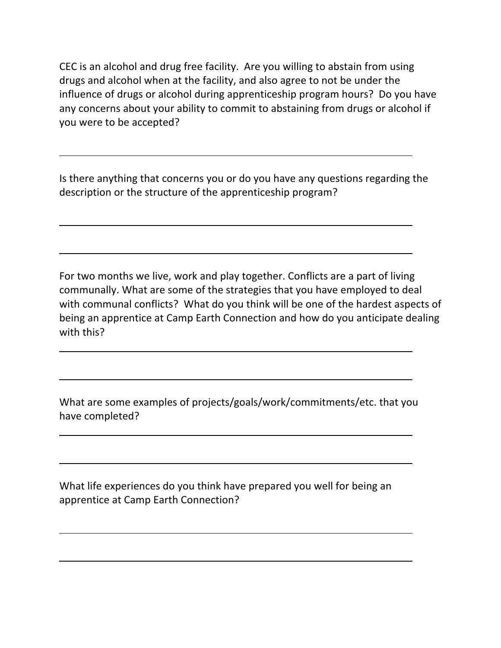CEC is an alcohol and drug free facility. Are you willing to abstain from using drugs and alcohol when at the facility, and also agree to not be under the influence of drugs or alcohol during apprenticeship program hours? Do you have any concerns about your ability to commit to abstaining from drugs or alcohol if you were to be accepted?

Is there anything that concerns you or do you have any questions regarding the description or the structure of the apprenticeship program?

For two months we live, work and play together. Conflicts are a part of living communally. What are some of the strategies that you have employed to deal with communal conflicts? What do you think will be one of the hardest aspects of being an apprentice at Camp Earth Connection and how do you anticipate dealing with this?

What are some examples of projects/goals/work/commitments/etc. that you have completed?

What life experiences do you think have prepared you well for being an apprentice at Camp Earth Connection?